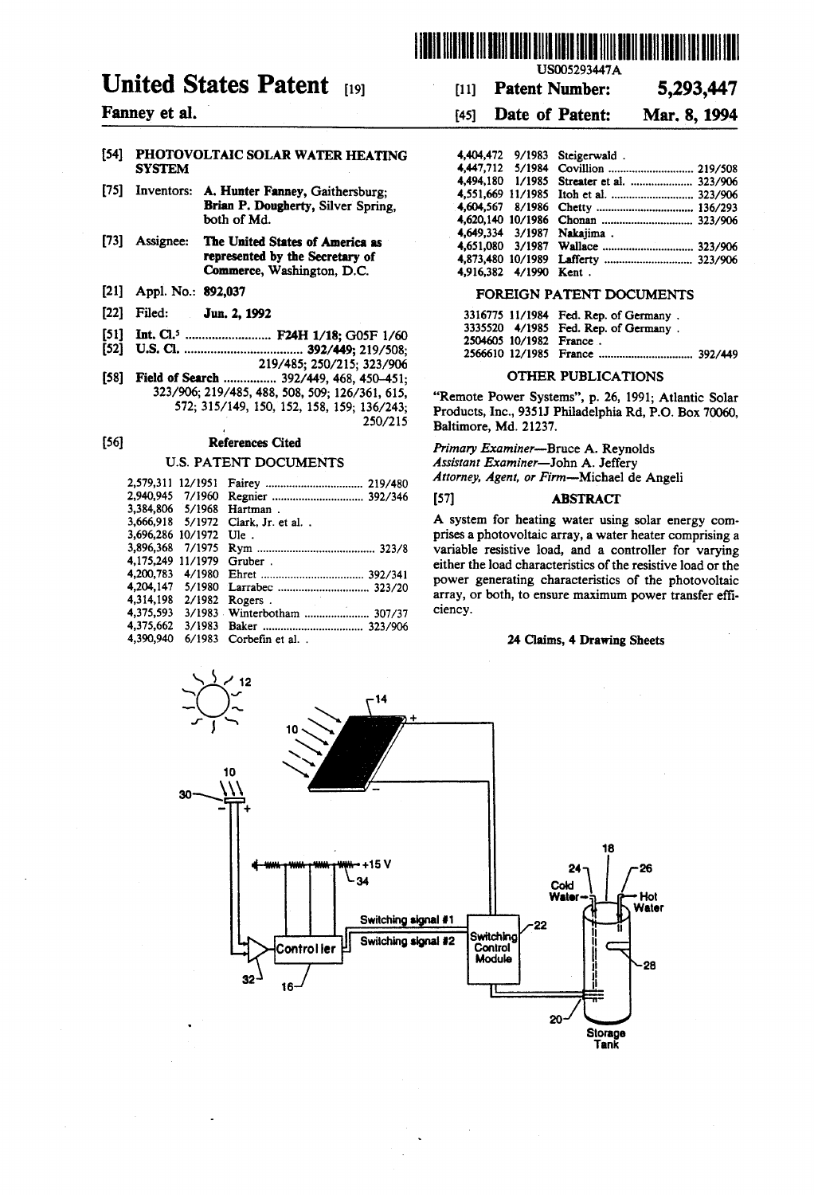

# United States Patent [19]

### Fanney et al.

#### 54) PHOTOVOLTAIC SOLAR WATER HEATING **SYSTEM**

- 75) Inventors: A. Hunter Fanney, Gaithersburg; Brian P. Dougherty, Silver Spring, both of Md.
- 73) Assignee: The United States of America as represented by the Secretary of Commerce, Washington, D.C.
- (21) Appl. No.: 892,037
- (22 Filed: Jun. 2, 1992
- 51 Int. Cl. .......................... F24H 1/18; G05F 1/60
- 52 U.S. C. .................................... 392/449; 219/508;
- 219/485; 250/215; 323/906 [58] Field of Search ................. 392/449, 468, 450-451; 323/906; 219/485, 488, 508, 509; 126/361, 615, 572; 315/149, 150, 152, 158, 159; 136/243; 250/215

#### (56) References Cited

#### U.S. PATENT DOCUMENTS

| 2,579,311 12/1951 |        |                       |
|-------------------|--------|-----------------------|
| 2.940.945 7/1960  |        |                       |
| 3.384.806 5/1968  |        | Hartman.              |
| 3,666,918 5/1972  |        | Clark, Jr. et al      |
| 3,696,286 10/1972 |        | $U$ le.               |
| 3.896.368         | 7/1975 |                       |
| 4.175.249 11/1979 |        | Gruber.               |
|                   |        |                       |
|                   |        |                       |
| 4.314.198         | 2/1982 | Rogers.               |
| 4.375,593         |        |                       |
| 4.375.662         |        |                       |
| 4,390,940         |        | 6/1983 Corbefin et al |
|                   |        |                       |

# 11) Patent Number: 5,293,447

## 45) Date of Patent: Mar. 8, 1994

|                        | 4,404,472 9/1983 Steigerwald.             |  |
|------------------------|-------------------------------------------|--|
|                        |                                           |  |
|                        | 4,494,180 1/1985 Streater et al.  323/906 |  |
|                        |                                           |  |
|                        |                                           |  |
|                        |                                           |  |
|                        | 4,649,334 3/1987 Nakajima.                |  |
|                        |                                           |  |
|                        |                                           |  |
| 4,916,382 4/1990 Kent. |                                           |  |
|                        |                                           |  |

#### FOREIGN PATENT DOCUMENTS

|  | 3316775 11/1984 Fed. Rep. of Germany. |  |
|--|---------------------------------------|--|
|  | 3335520 4/1985 Fed. Rep. of Germany.  |  |
|  | 2504605 10/1982 France.               |  |
|  |                                       |  |
|  |                                       |  |

#### OTHER PUBLICATIONS

"Remote Power Systems', p. 26, 1991; Atlantic Solar Products, Inc., 9351J Philadelphia Rd, P.O. Box 70060, Baltimore, Md. 21237.

Primary Examiner-Bruce A. Reynolds<br>Assistant Examiner-John A. Jeffery Attorney, Agent, or Firm-Michael de Angeli

#### (57) ABSTRACT

A system for heating water using solar energy com prises a photovoltaic array, a water heater comprising a variable resistive load, and a controller for varying either the load characteristics of the resistive load or the power generating characteristics of the photovoltaic array, or both, to ensure maximum power transfer effi ciency.

#### 24 Claims, 4 Drawing Sheets

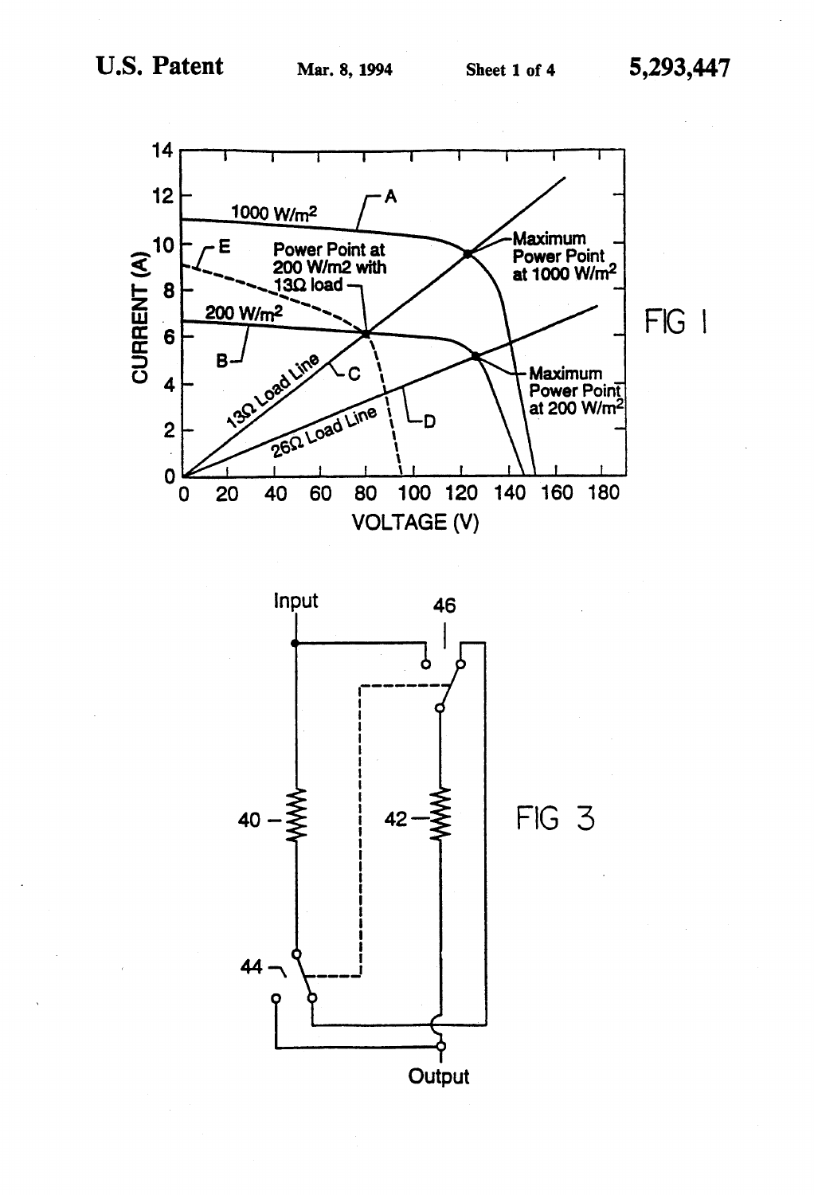

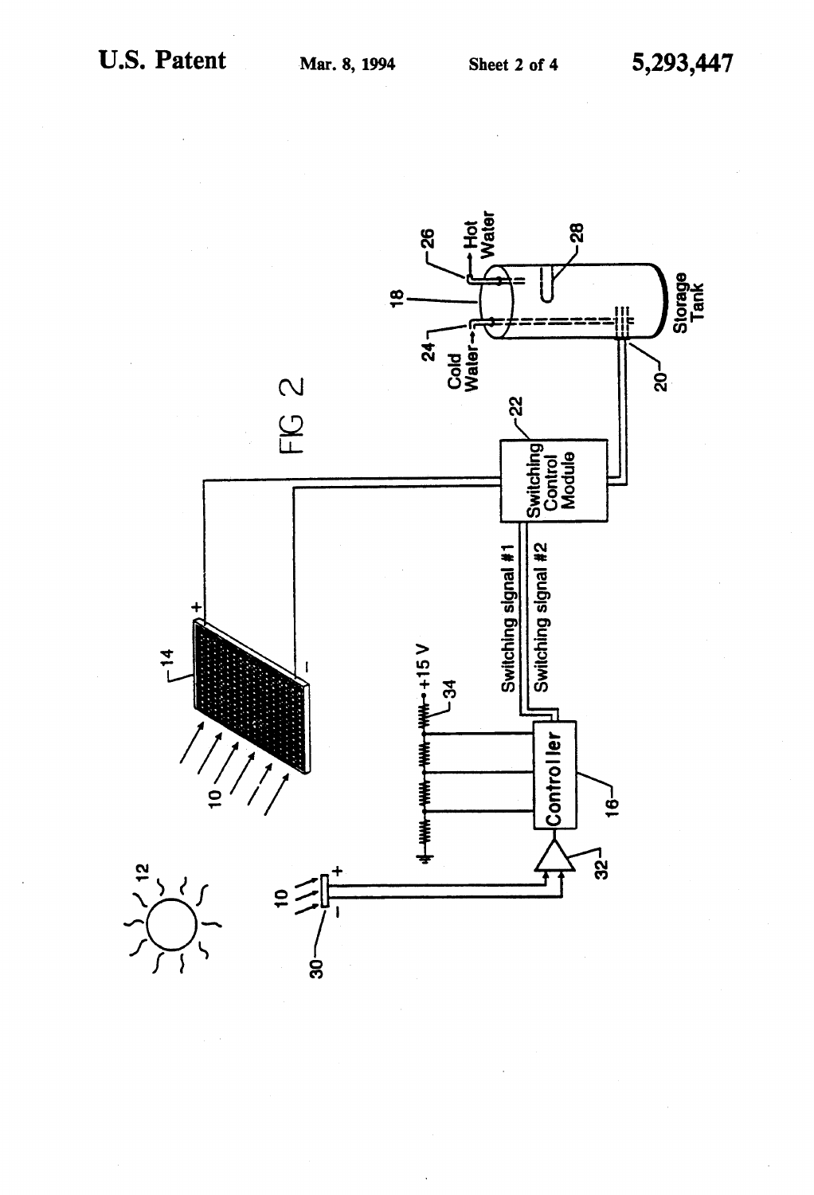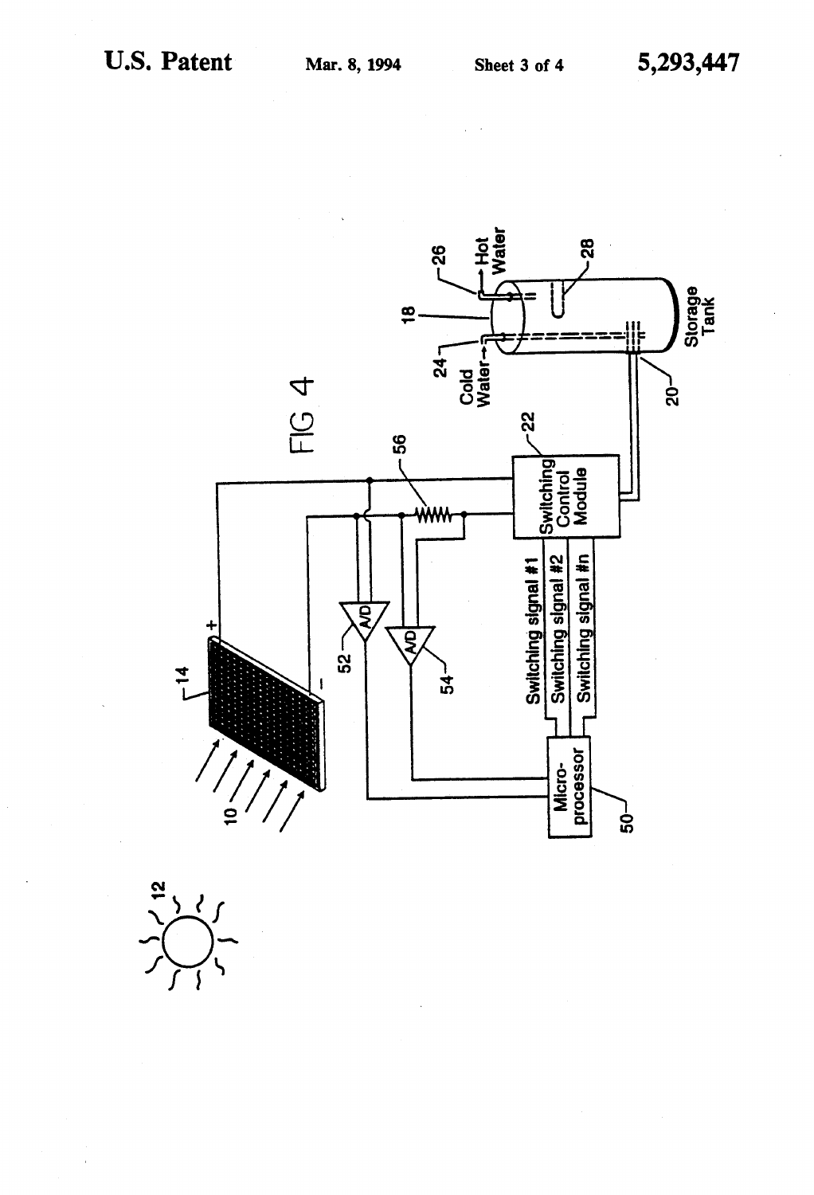

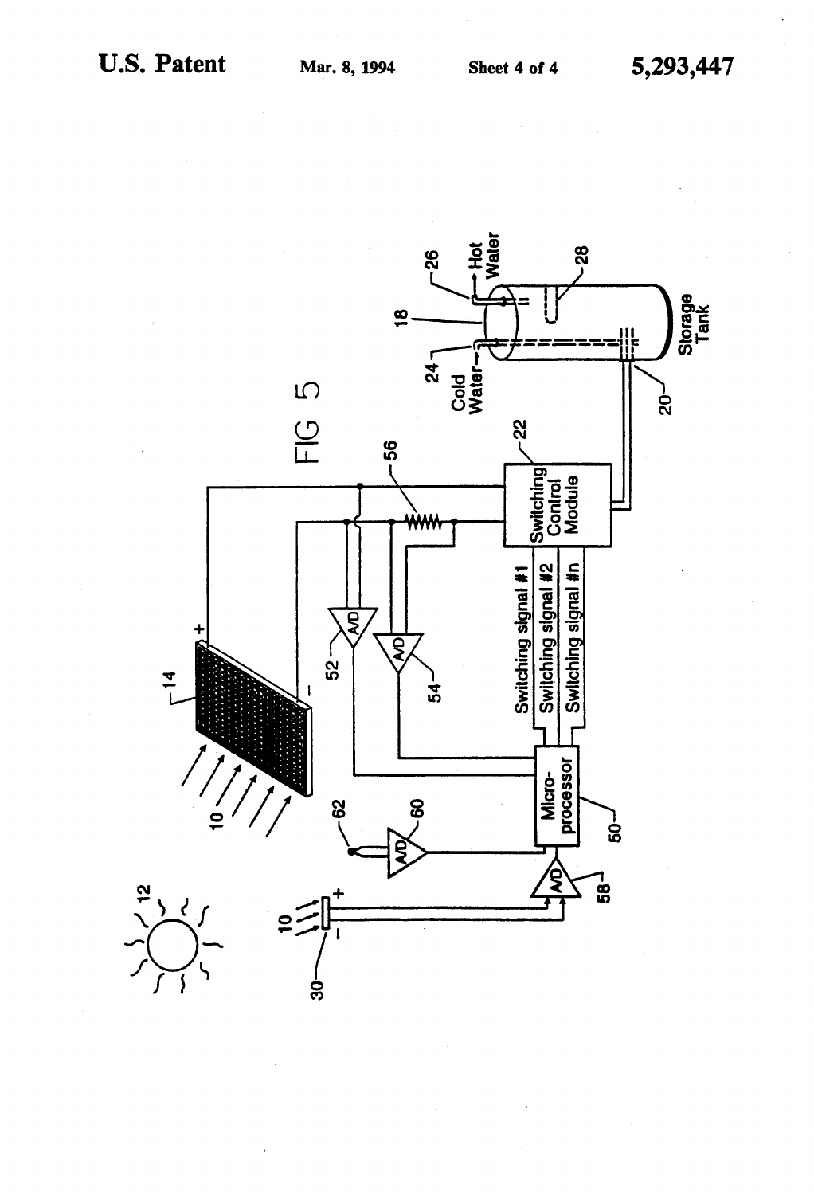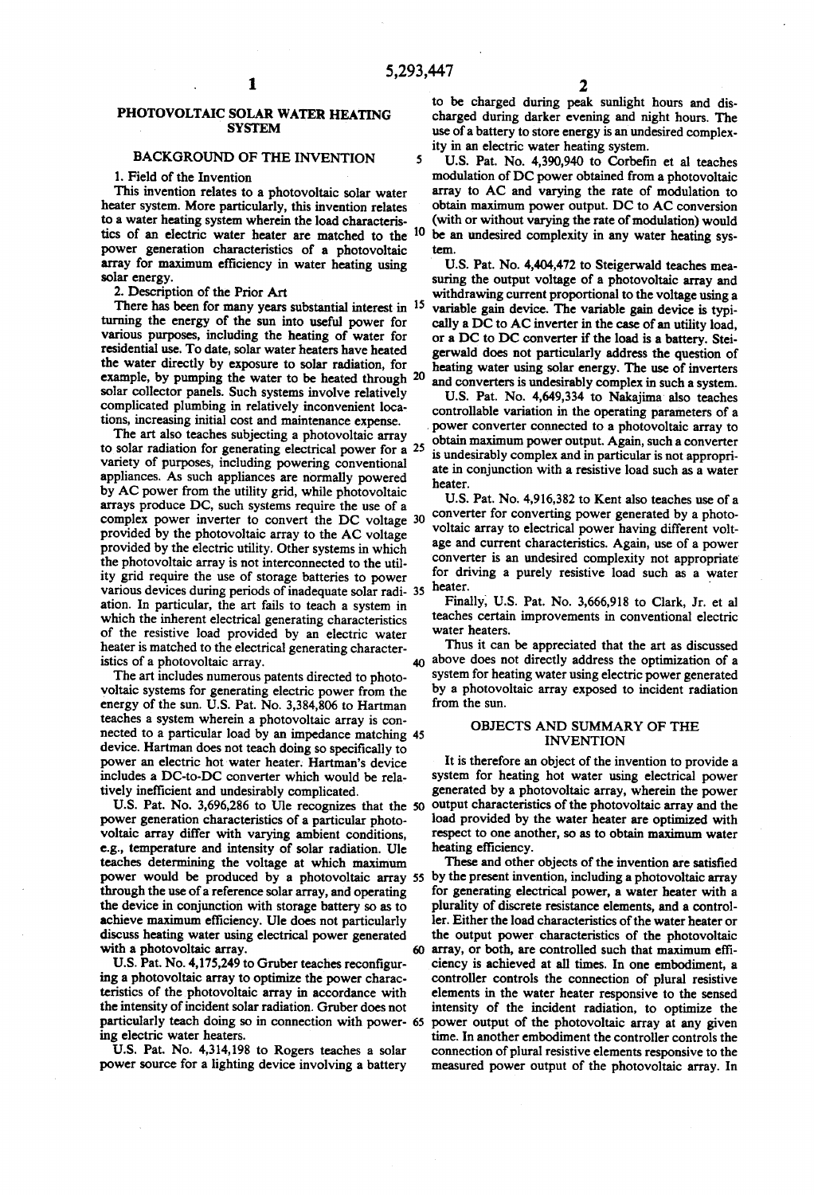#### PHOTOVOLTAIC SOLAR WATER HEATING **SYSTEM**

### BACKGROUND OF THE INVENTION

1. Field of the Invention

This invention relates to a photovoltaic solar water heater system. More particularly, this invention relates to a water heating system wherein the load characteris tics of an electric water heater are matched to the 10 power generation characteristics of a photovoltaic array for maximum efficiency in water heating using solar energy.

2. Description of the Prior Art

There has been for many years substantial interest in <sup>15</sup> turning the energy of the sun into useful power for various purposes, including the heating of water for residential use. To date, solar water heaters have heated the water directly by exposure to solar radiation, for solar collector panels. Such systems involve relatively complicated plumbing in relatively inconvenient locations, increasing initial cost and maintenance expense. example, by pumping the water to be heated through 20

The art also teaches subjecting a photovoltaic array variety of purposes, including powering conventional appliances. As such appliances are normally powered by AC power from the utility grid, while photovoltaic arrays produce DC, such systems require the use of a complex power inverter to convert the DC voltage provided by the photovoltaic array to the AC voltage provided by the electric utility. Other systems in which 30 the photovoltaic array is not interconnected to the utility grid require the use of storage batteries to power ity grid require the use of storage batteries to power various devices during periods of inadequate solar radi- 35 ation. In particular, the art fails to teach a system in which the inherent electrical generating characteristics of the resistive load provided by an electric water heater is matched to the electrical generating characteristics of a photovoltaic array.<br>The art includes numerous patents directed to phototo solar radiation for generating electrical power for a 25

voltaic systems for generating electric power from the energy of the sun. U.S. Pat. No. 3,384,806 to Hartman teaches a system wherein a photovoltaic array is con device. Hartman does not teach doing so specifically to power an electric hot water heater. Hartman's device includes a DC-to-DC converter which would be rela tively inefficient and undesirably complicated. nected to a particular load by an impedance matching 45

U.S. Pat. No. 3,696,286 to Ule recognizes that the 50 power generation characteristics of a particular photovoltaic array differ with varying ambient conditions, e.g., temperature and intensity of solar radiation. Ule teaches determining the voltage at which maximum through the use of a reference solar array, and operating the device in conjunction with storage battery so as to achieve maximum efficiency. Ule does not particularly discuss heating water using electrical power generated<br>with a photovoltaic array. 60<br>U.S. Pat. No. 4,175,249 to Gruber teaches reconfigur-

ing a photovoltaic array to optimize the power characteristics of the photovoltaic array in accordance with the intensity of incident solar radiation. Gruber does not particularly teach doing so in connection with power- 65 ing electric water heaters.

U.S. Pat. No. 4,314,198 to Rogers teaches a solar power source for a lighting device involving a battery to be charged during peak sunlight hours and dis charged during darker evening and night hours. The use of a battery to store energy is an undesired complexity in an electric water heating system.

5 U.S. Pat. No. 4,390,940 to Corbefin et al teaches modulation of DC power obtained from a photovoltaic array to AC and varying the rate of modulation to obtain maximum power output. DC to AC conversion (with or without varying the rate of modulation) would be an undesired complexity in any water heating sys ten.

U.S. Pat. No. 4,404,472 to Steigerwald teaches measuring the output voltage of a photovoltaic array and withdrawing current proportional to the voltage using a variable gain device. The variable gain device is typically a DC to AC inverter in the case of an utility load, or a DC to DC converter if the load is a battery. Stei gerwald does not particularly address the question of heating water using solar energy. The use of inverters and converters is undesirably complex in such a system.

U.S. Pat. No. 4,649,334 to Nakajima also teaches controllable variation in the operating parameters of a power converter connected to a photovoltaic array to obtain maximum power output. Again, such a converter is undesirably complex and in particular is not appropri ate in conjunction with a resistive load such as a water heater.

U.S. Pat. No. 4,916,382 to Kent also teaches use of a converter for converting power generated by a photo voltaic array to electrical power having different volt age and current characteristics. Again, use of a power converter is an undesired complexity not appropriate for driving a purely resistive load such as a water heater.

Finally, U.S. Pat. No. 3,666,918 to Clark, Jr. et al teaches certain improvements in conventional electric water heaters.

Thus it can be appreciated that the art as discussed  $40$  above does not directly address the optimization of a system for heating water using electric power generated by a photovoltaic array exposed to incident radiation from the sun.

#### OBJECTS AND SUMMARY OF THE INVENTION

It is therefore an object of the invention to provide a system for heating hot water using electrical power generated by a photovoltaic array, wherein the power output characteristics of the photovoltaic array and the load provided by the water heater are optimized with respect to one another, so as to obtain maximum water heating efficiency.

55 by the present invention, including a photovoltaic array These and other objects of the invention are satisfied for generating electrical power, a water heater with a plurality of discrete resistance elements, and a control ler. Either the load characteristics of the water heater or the output power characteristics of the photovoltaic array, or both, are controlled such that maximum effi ciency is achieved at all times. In one embodiment, a controller controls the connection of plural resistive elements in the water heater responsive to the sensed intensity of the incident radiation, to optimize the power output of the photovoltaic array at any given time. In another embodiment the controller controls the connection of plural resistive elements responsive to the measured power output of the photovoltaic array. In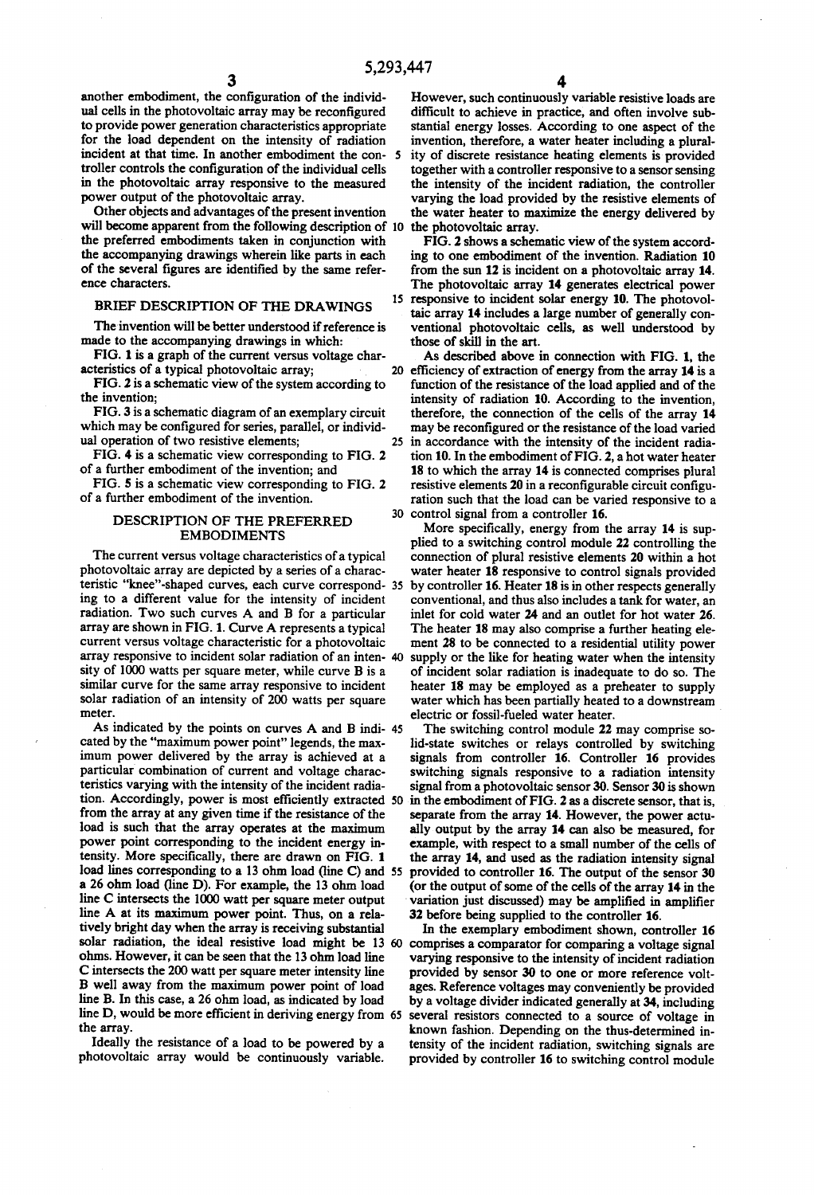another embodiment, the configuration of the individ ual cells in the photovoltaic array may be reconfigured<br>to provide power generation characteristics appropriate for the load dependent on the intensity of radiation incident at that time. In another embodiment the con-5 troller controls the configuration of the individual cells in the photovoltaic array responsive to the measured power output of the photovoltaic array.

Other objects and advantages of the present invention will become apparent from the following description of 10 the photovoltaic array. the preferred embodiments taken in conjunction with the accompanying drawings wherein like parts in each of the several figures are identified by the same refer ence characters.

#### BRIEF DESCRIPTION OF THE DRAWINGS

The invention will be better understood if reference is made to the accompanying drawings in which:

FIG. 1 is a graph of the current versus voltage char acteristics of a typical photovoltaic array;

FIG. 2 is a schematic view of the system according to the invention;

FIG. 3 is a schematic diagram of an exemplary circuit which may be configured for series, parallel, or individ ual operation of two resistive elements;

FIG. 4 is a schematic view corresponding to FIG. 2 of a further embodiment of the invention; and

FIG. 5 is a schematic view corresponding to FIG. 2 of a further embodiment of the invention.

#### DESCRIPTION OF THE PREFERRED EMBODIMENTS

The current versus voltage characteristics of a typical photovoltaic array are depicted by a series of a charac ing to a different value for the intensity of incident radiation. Two such curves A and B for a particular array are shown in FIG.1. Curve A represents a typical current versus voltage characteristic for a photovoltaic array responsive to incident solar radiation of an inten sity of 1000 watts per square meter, while curve B is a similar curve for the same array responsive to incident solar radiation of an intensity of 200 watts per square meter. teristic "knee"-shaped curves, each curve correspond- 35

As indicated by the points on curves A and B indi- 45 cated by the "maximum power point' legends, the max imum power delivered by the array is achieved at a particular combination of current and voltage charac teristics varying with the intensity of the incident radia tion. Accordingly, power is most efficiently extracted 50 from the array at any given time if the resistance of the load is such that the array operates at the maximum power point corresponding to the incident energy in tensity. More specifically, there are drawn on FIG. 1 load lines corresponding to a 13 ohm load (line C) and 55 a 26 ohm load (line D). For example, the 13 ohm load line A at its maximum power point. Thus, on a relatively bright day when the array is receiving substantial solar radiation, the ideal resistive load might be 13 ohms. However, it can be seen that the 13 ohm load line Cintersects the 200 watt per square meter intensity line B well away from the maximum power point of load line B. In this case, a 26 ohm load, as indicated by load line D, would be more efficient in deriving energy from 65 the array.

Ideally the resistance of a load to be powered by a photovoltaic array would be continuously variable.

However, such continuously variable resistive loads are difficult to achieve in practice, and often involve sub stantial energy losses. According to one aspect of the invention, therefore, a water heater including a plurality of discrete resistance heating elements is provided together with a controller responsive to a sensor sensing the intensity of the incident radiation, the controller varying the load provided by the resistive elements of the water heater to maximize the energy delivered by

15 responsive to incident solar energy 10. The photovol-FIG.2 shows a schematic view of the system accord ing to one embodiment of the invention. Radiation 10 from the sun 12 is incident on a photovoltaic array 14. taic array 14 includes a large number of generally conventional photovoltaic cells, as well understood by those of skill in the art.

20 efficiency of extraction of energy from the array 14 is a 25 30 control signal from a controller 16. As described above in connection with FIG. 1, the function of the resistance of the load applied and of the intensity of radiation 10. According to the invention, therefore, the connection of the cells of the array 14 may be reconfigured or the resistance of the load varied in accordance with the intensity of the incident radia tion 10. In the embodiment of FIG. 2, a hot water heater 18 to which the array 14 is connected comprises plural resistive elements 20 in a reconfigurable circuit configuration such that the load can be varied responsive to a

More specifically, energy from the array 14 is supplied to a switching control module 22 controlling the connection of plural resistive elements 20 within a hot water heater 18 responsive to control signals provided by controller 16. Heater 18 is in other respects generally conventional, and thus also includes a tank for water, an inlet for cold water 24 and an outlet for hot water 26. The heater 18 may also comprise a further heating element 28 to be connected to a residential utility power supply or the like for heating water when the intensity of incident solar radiation is inadequate to do so. The heater 18 may be employed as a preheater to supply water which has been partially heated to a downstream electric or fossil-fueled water heater.

The switching control module 22 may comprise solid-state switches or relays controlled by switching signals from controller 16. Controller 16 provides switching signals responsive to a radiation intensity signal from a photovoltaic sensor 30. Sensor 30 is shown in the embodiment of FIG. 2 as a discrete sensor, that is, separate from the array 14. However, the power actu ally output by the array 14 can also be measured, for example, with respect to a small number of the cells of the array 14, and used as the radiation intensity signal provided to controller 16. The output of the sensor 30 (or the output of some of the cells of the array 14 in the variation just discussed) may be amplified in amplifier

32 before being supplied to the controller 16.<br>In the exemplary embodiment shown, controller 16. In the exemplary embodiment shown, controller 16 comprises a comparator for comparing a voltage signal varying responsive to the intensity of incident radiation provided by sensor 30 to one or more reference volt-<br>ages. Reference voltages may conveniently be provided by a voltage divider indicated generally at 34, including several resistors connected to a source of voltage in known fashion. Depending on the thus-determined in tensity of the incident radiation, switching signals are provided by controller 16 to switching control module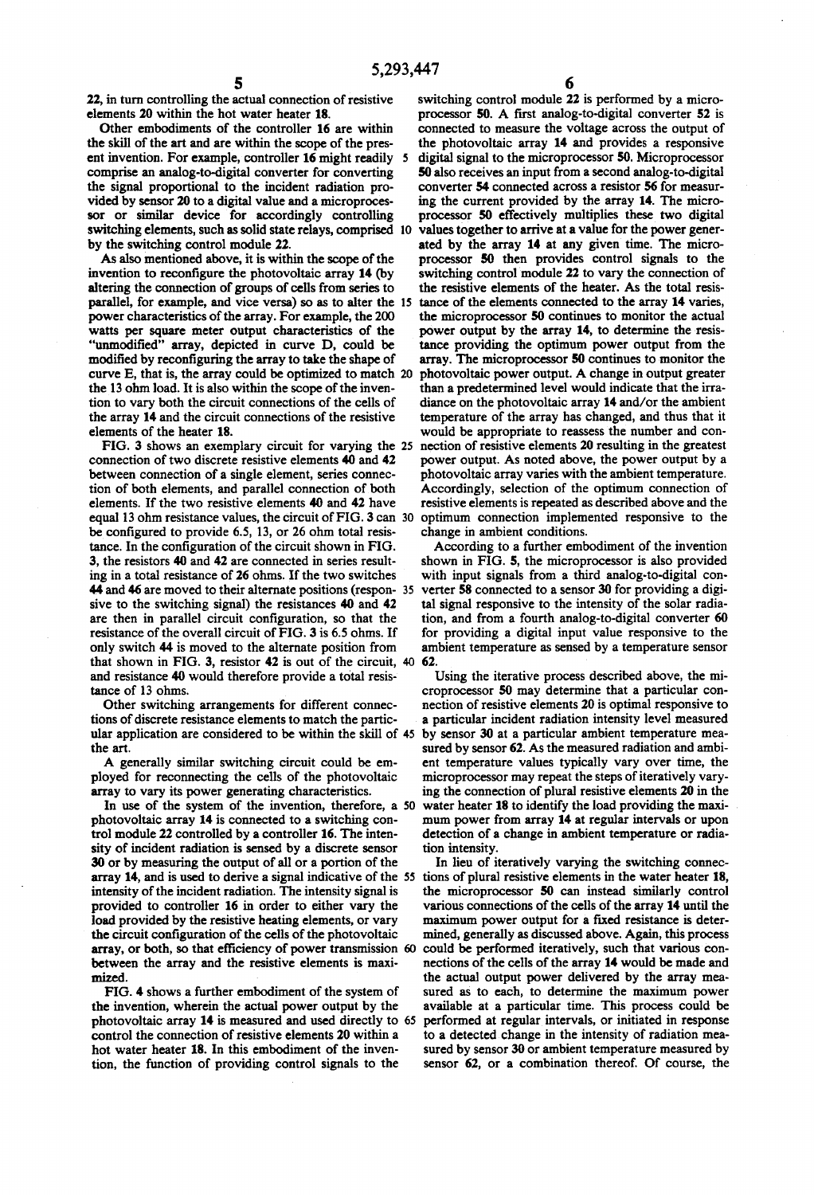22, in turn controlling the actual connection of resistive elements 20 within the hot water heater 18.

Other embodiments of the controller 16 are within the skill of the art and are within the scope of the present invention. For example, controller 16 might readily 5 comprise an analog-to-digital converter for converting the signal proportional to the incident radiation provided by sensor 20 to a digital value and a microprocessor or similar device for accordingly controlling sor or similar device for accordingly controlling switching elements, such as solid state relays, comprised by the switching control module 22.

As also mentioned above, it is within the scope of the invention to reconfigure the photovoltaic array 14 (by altering the connection of groups of cells from series to parallel, for example, and vice versa) so as to alter the 15 power characteristics of the array. For example, the 200 watts per square meter output characteristics of the "unmodified" array, depicted in curve D, could be modified by reconfiguring the array to take the shape of curve E, that is, the array could be optimized to match 20 the 13 ohm load. It is also within the scope of the inven tion to vary both the circuit connections of the cells of the array 14 and the circuit connections of the resistive elements of the heater 18.

FIG. 3 shows an exemplary circuit for varying the 25 connection of two discrete resistive elements 40 and 42 between connection of a single element, series connec tion of both elements, and parallel connection of both elements. If the two resistive elements 40 and 42 have equal 13 ohm resistance values, the circuit of FIG. 3 can 30 be configured to provide 6.5, 13, or 26 ohm total resis tance. In the configuration of the circuit shown in FIG. 3, the resistors 40 and 42 are connected in series result ing in a total resistance of 26 ohms. If the two switches 44 and 46 are moved to their alternate positions (respon-35) sive to the switching signal) the resistances 40 and 42 are then in parallel circuit configuration, so that the resistance of the overall circuit of FIG. 3 is 6.5 ohms. If only switch 44 is moved to the alternate position from that shown in FIG. 3, resistor  $42$  is out of the circuit,  $40\,$   $62.$ and resistance 40 would therefore provide a total resis tance of 13 ohms.

Other switching arrangements for different connections of discrete resistance elements to match the particular application are considered to be within the skill of 45 the art.

A generally similar switching circuit could be em ployed for reconnecting the cells of the photovoltaic array to vary its power generating characteristics.

In use of the system of the invention, therefore, a 50 photovoltaic array 14 is connected to a switching con trol module 22 controlled by a controller 16. The inten sity of incident radiation is sensed by a discrete sensor 30 or by measuring the output of all or a portion of the array 14, and is used to derive a signal indicative of the 55 intensity of the incident radiation. The intensity signal is provided to controller 16 in order to either vary the load provided by the resistive heating elements, or vary the circuit configuration of the cells of the photovoltaic array, or both, so that efficiency of power transmission 60 between the array and the resistive elements is maxi mized

FIG. 4 shows a further embodiment of the system of the invention, wherein the actual power output by the photovoltaic array 14 is measured and used directly to 65 control the connection of resistive elements 20 within a hot water heater 18. In this embodiment of the inven tion, the function of providing control signals to the

O switching control module 22 is performed by a micro processor 50. A first analog-to-digital converter 52 is connected to measure the voltage across the output of the photovoltaic array 14 and provides a responsive digital signal to the microprocessor 50. Microprocessor 50 also receives an input from a second analog-to-digital converter 54 connected across a resistor 56 for measur ing the current provided by the array 14. The micro-<br>processor 50 effectively multiplies these two digital values together to arrive at a value for the power generated by the array 14 at any given time. The microprocessor 50 then provides control signals to the switching control module 22 to vary the connection of the resistive elements of the heater. As the total resis tance of the elements connected to the array 14 varies, the microprocessor 50 continues to monitor the actual power output by the array 14, to determine the resis tance providing the optimum power output from the array. The microprocessor 50 continues to monitor the photovoltaic power output. A change in output greater than a predetermined level would indicate that the irra diance on the photovoltaic array 14 and/or the ambient temperature of the array has changed, and thus that it would be appropriate to reassess the number and con nection of resistive elements 20 resulting in the greatest power output. As noted above, the power output by a photovoltaic array varies with the ambient temperature. Accordingly, selection of the optimum connection of resistive elements is repeated as described above and the optimum connection implemented responsive to the change in ambient conditions.

According to a further embodiment of the invention<br>shown in FIG. 5, the microprocessor is also provided with input signals from a third analog-to-digital converter 58 connected to a sensor 30 for providing a digital signal responsive to the intensity of the solar radiation, and from a fourth analog-to-digital converter 60 for providing a digital input value responsive to the ambient temperature as sensed by a temperature sensor

Using the iterative process described above, the mi croprocessor 50 may determine that a particular con nection of resistive elements 20 is optimal responsive to a particular incident radiation intensity level measured by sensor 30 at a particular ambient temperature mea sured by sensor 62. As the measured radiation and ambient temperature values typically vary over time, the microprocessor may repeat the steps of iteratively varying the connection of plural resistive elements 20 in the water heater 18 to identify the load providing the maximum power from array 14 at regular intervals or upon detection of a change in ambient temperature or radiation intensity.

In lieu of iteratively varying the switching connections of plural resistive elements in the water heater 18, the microprocessor 50 can instead similarly control various connections of the cells of the array 14 until the maximum power output for a fixed resistance is determined, generally as discussed above. Again, this process could be performed iteratively, such that various connections of the cells of the array 14 would be made and the actual output power delivered by the array measured as to each, to determine the maximum power available at a particular time. This process could be performed at regular intervals, or initiated in response to a detected change in the intensity of radiation mea sured by sensor 30 or ambient temperature measured by sensor 62, or a combination thereof. Of course, the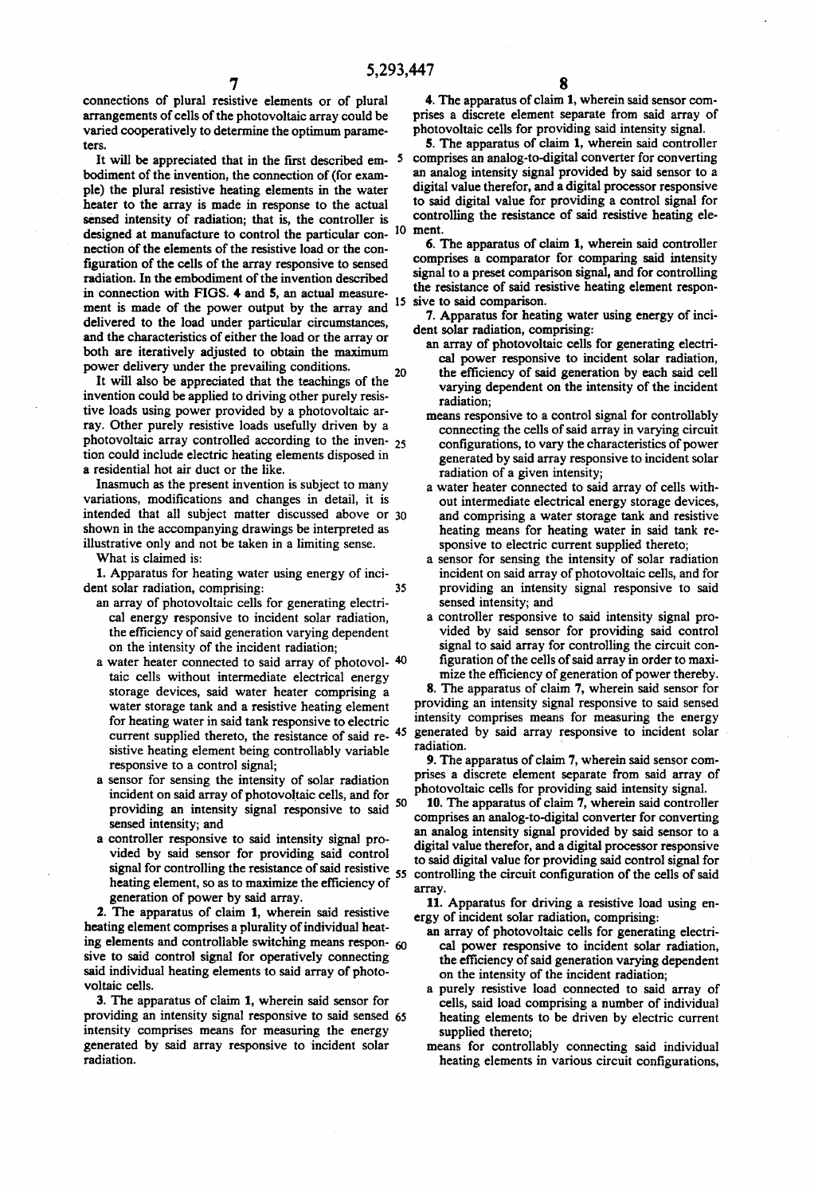5,293,447<br>**7**<br>connections of plural resistive elements or of plural 4. arrangements of cells of the photovoltaic array could be varied cooperatively to determine the optimum parame tes.

It will be appreciated that in the first described em bodiment of the invention, the connection of (for exam ple) the plural resistive heating elements in the water heater to the array is made in response to the actual sensed intensity of radiation; that is, the controller is designed at manufacture to control the particular con- $10$ nection of the elements of the resistive load or the con figuration of the cells of the array responsive to sensed radiation. In the embodiment of the invention described in connection with FIGS. 4 and 5, an actual measure ment is made of the power output by the array and <sup>15</sup> delivered to the load under particular circumstances, and the characteristics of either the load or the array or both are iteratively adjusted to obtain the maximum power delivery under the prevailing conditions.

It will also be appreciated that the teachings of the invention could be applied to driving other purely resis tive loads using power provided by a photovoltaic ar ray. Other purely resistive loads usefully driven by a photovoltaic array controlled according to the inven- $25$ tion could include electric heating elements disposed in a residential hot air duct or the like. 20

Inasmuch as the present invention is subject to many variations, modifications and changes in detail, it is intended that all subject matter discussed above or 30 shown in the accompanying drawings be interpreted as illustrative only and not be taken in a limiting sense.

What is claimed is:

1. Apparatus for heating water using energy of inci dent solar radiation, comprising: 35

- an array of photovoltaic cells for generating electrical energy responsive to incident solar radiation, the efficiency of said generation varying dependent on the intensity of the incident radiation;<br>a water heater connected to said array of photovol-40
- taic cells without intermediate electrical energy storage devices, said water heater comprising a water storage tank and a resistive heating element for heating water in said tank responsive to electric current supplied thereto, the resistance of said re- $45$ sistive heating element being controllably variable responsive to a control signal;
- a sensor for sensing the intensity of solar radiation incident on said array of photovoltaic cells, and for providing an intensity signal responsive to said <sup>50</sup> sensed intensity; and<br>a controller responsive to said intensity signal pro-
- vided by said sensor for providing said control signal for controlling the resistance of said resistive 55 heating element, so as to maximize the efficiency of generation of power by said array.

2. The apparatus of claim 1, wherein said resistive heating element comprises a plurality of individual heating elements and controllable switching means responsive to said control signal for operatively connecting said individual heating elements to said array of photovoltaic cells.

3. The apparatus of claim 1, wherein said sensor for providing an intensity signal responsive to said sensed 65 intensity comprises means for measuring the energy generated by said array responsive to incident solar radiation.

4. The apparatus of claim 1, wherein said sensor comprises a discrete element separate from said array of photovoltaic cells for providing said intensity signal.<br>5. The apparatus of claim 1, wherein said controller

comprises an analog-to-digital converter for converting an analog intensity signal provided by said sensor to a digital value therefor, and a digital processor responsive to said digital value for providing a control signal for controlling the resistance of said resistive heating ele

ment.<br>6. The apparatus of claim 1, wherein said controller comprises a comparator for comparing said intensity signal to a preset comparison signal, and for controlling the resistance of said resistive heating element responthe resisteur of said responsion.<br>The response to the response to the same response to said comparatus for heating water using energy of inci-

dent solar radiation, comprising:

- an array of photovoltaic cells for generating electri the efficiency of said generation by each said cell varying dependent on the intensity of the incident
- radiation;<br>means responsive to a control signal for controllably connecting the cells of said array in varying circuit configurations, to vary the characteristics of power generated by said array responsive to incident solar radiation of a given intensity;
- a water heater connected to said array of cells with and comprising a water storage tank and resistive heating means for heating water in said tank re sponsive to electric current supplied thereto;
- a sensor for sensing the intensity of solar radiation incident on said array of photovoltaic cells, and for providing an intensity signal responsive to said sensed intensity; and<br>a controller responsive to said intensity signal pro-
- vided by said sensor for providing said control signal to said array for controlling the circuit con figuration of the cells of said array in order to maxi mize the efficiency of generation of power thereby.

8. The apparatus of claim 7, wherein said sensor for providing an intensity signal responsive to said sensed<br>intensity comprises means for measuring the energy generated by said array responsive to incident solar radiation.

9. The apparatus of claim 7, wherein said sensor com prises a discrete element separate from said array of photovoltaic cells for providing said intensity signal.

10. The apparatus of claim 7, wherein said controller comprises an analog-to-digital converter for converting an analog intensity signal provided by said sensor to a digital value therefor, and a digital processor responsive to said digital value for providing said control signal for controlling the circuit configuration of the cells of said array.

11. Apparatus for driving a resistive load using en ergy of incident solar radiation, comprising:

- an array of photovoltaic cells for generating electri the efficiency of said generation varying dependent on the intensity of the incident radiation;
- a purely resistive load connected to said array of cells, said load comprising a number of individual heating elements to be driven by electric current supplied thereto;
- means for controllably connecting said individual heating elements in various circuit configurations,